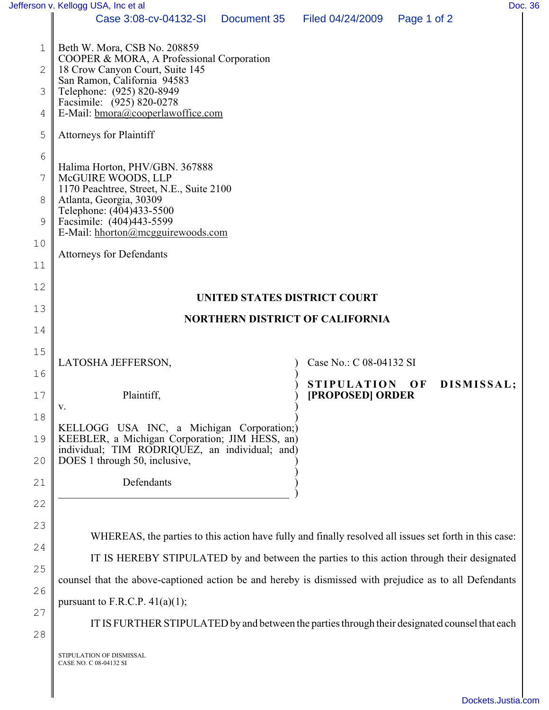|          | Jefferson v. Kellogg USA, Inc et al                                                                                                                                   |             |                         |                                       | Doc. 36 |  |
|----------|-----------------------------------------------------------------------------------------------------------------------------------------------------------------------|-------------|-------------------------|---------------------------------------|---------|--|
|          | Case 3:08-cv-04132-SI                                                                                                                                                 | Document 35 | Filed 04/24/2009        | Page 1 of 2                           |         |  |
| 1        | Beth W. Mora, CSB No. 208859                                                                                                                                          |             |                         |                                       |         |  |
| 2        | COOPER & MORA, A Professional Corporation<br>18 Crow Canyon Court, Suite 145<br>San Ramon, California 94583<br>Telephone: (925) 820-8949<br>Facsimile: (925) 820-0278 |             |                         |                                       |         |  |
| 3        |                                                                                                                                                                       |             |                         |                                       |         |  |
| 4        | E-Mail: bmora@cooperlawoffice.com                                                                                                                                     |             |                         |                                       |         |  |
| 5        | <b>Attorneys for Plaintiff</b>                                                                                                                                        |             |                         |                                       |         |  |
| 6        | Halima Horton, PHV/GBN. 367888                                                                                                                                        |             |                         |                                       |         |  |
| 7        | McGUIRE WOODS, LLP<br>1170 Peachtree, Street, N.E., Suite 2100                                                                                                        |             |                         |                                       |         |  |
| 8        | Atlanta, Georgia, 30309<br>Telephone: (404)433-5500                                                                                                                   |             |                         |                                       |         |  |
| 9        | Facsimile: (404)443-5599<br>E-Mail: hhorton@mcgguirewoods.com                                                                                                         |             |                         |                                       |         |  |
| 10       | <b>Attorneys for Defendants</b>                                                                                                                                       |             |                         |                                       |         |  |
| 11       |                                                                                                                                                                       |             |                         |                                       |         |  |
| 12       | UNITED STATES DISTRICT COURT                                                                                                                                          |             |                         |                                       |         |  |
| 13       | <b>NORTHERN DISTRICT OF CALIFORNIA</b>                                                                                                                                |             |                         |                                       |         |  |
| 14       |                                                                                                                                                                       |             |                         |                                       |         |  |
| 15       | LATOSHA JEFFERSON,                                                                                                                                                    |             | Case No.: C 08-04132 SI |                                       |         |  |
| 16       |                                                                                                                                                                       |             | <b>STIPULATION</b>      | DISMISSAL;<br>$\mathbf{O} \mathbf{F}$ |         |  |
| 17<br>18 | Plaintiff.<br>V.                                                                                                                                                      |             | [PROPOSED] ORDER        |                                       |         |  |
| 19       | KELLOGG USA INC, a Michigan Corporation;)<br>KEEBLER, a Michigan Corporation; JIM HESS, an)                                                                           |             |                         |                                       |         |  |
| 20       | individual; TIM RODRIQUEZ, an individual; and)<br>DOES 1 through 50, inclusive,                                                                                       |             |                         |                                       |         |  |
| 21       | Defendants                                                                                                                                                            |             |                         |                                       |         |  |
| 22       |                                                                                                                                                                       |             |                         |                                       |         |  |
| 23       |                                                                                                                                                                       |             |                         |                                       |         |  |
| 24       | WHEREAS, the parties to this action have fully and finally resolved all issues set forth in this case:                                                                |             |                         |                                       |         |  |
| 25       | IT IS HEREBY STIPULATED by and between the parties to this action through their designated                                                                            |             |                         |                                       |         |  |
| 26       | counsel that the above-captioned action be and hereby is dismissed with prejudice as to all Defendants                                                                |             |                         |                                       |         |  |
| 27       | pursuant to F.R.C.P. $41(a)(1)$ ;                                                                                                                                     |             |                         |                                       |         |  |
| 28       | IT IS FURTHER STIPULATED by and between the parties through their designated counsel that each                                                                        |             |                         |                                       |         |  |
|          | STIPULATION OF DISMISSAL<br>CASE NO. C 08-04132 SI                                                                                                                    |             |                         |                                       |         |  |
|          |                                                                                                                                                                       |             |                         |                                       |         |  |
|          |                                                                                                                                                                       |             |                         |                                       |         |  |